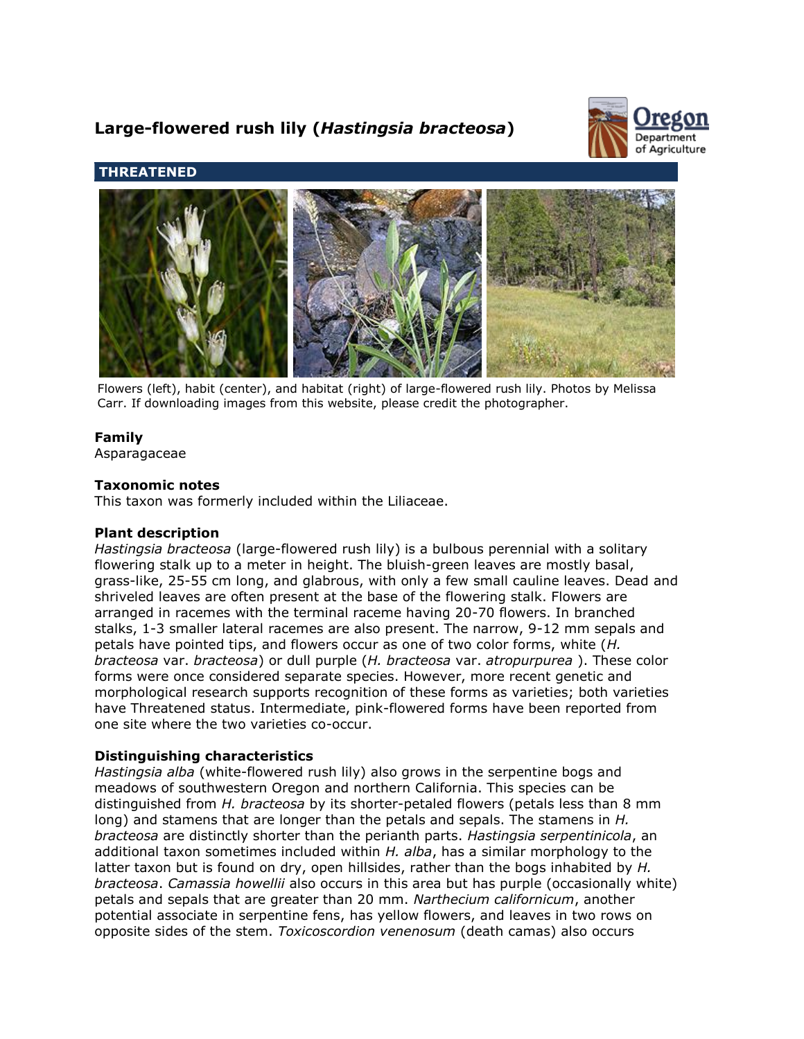# **Large-flowered rush lily (***Hastingsia bracteosa***)**



# **THREATENED**



Flowers (left), habit (center), and habitat (right) of large-flowered rush lily. Photos by Melissa Carr. If downloading images from this website, please credit the photographer.

# **Family**

Asparagaceae

## **Taxonomic notes**

This taxon was formerly included within the Liliaceae.

## **Plant description**

*Hastingsia bracteosa* (large-flowered rush lily) is a bulbous perennial with a solitary flowering stalk up to a meter in height. The bluish-green leaves are mostly basal, grass-like, 25-55 cm long, and glabrous, with only a few small cauline leaves. Dead and shriveled leaves are often present at the base of the flowering stalk. Flowers are arranged in racemes with the terminal raceme having 20-70 flowers. In branched stalks, 1-3 smaller lateral racemes are also present. The narrow, 9-12 mm sepals and petals have pointed tips, and flowers occur as one of two color forms, white (*H. bracteosa* var. *bracteosa*) or dull purple (*H. bracteosa* var. *atropurpurea* ). These color forms were once considered separate species. However, more recent genetic and morphological research supports recognition of these forms as varieties; both varieties have Threatened status. Intermediate, pink-flowered forms have been reported from one site where the two varieties co-occur.

## **Distinguishing characteristics**

*Hastingsia alba* (white-flowered rush lily) also grows in the serpentine bogs and meadows of southwestern Oregon and northern California. This species can be distinguished from *H. bracteosa* by its shorter-petaled flowers (petals less than 8 mm long) and stamens that are longer than the petals and sepals. The stamens in *H. bracteosa* are distinctly shorter than the perianth parts. *Hastingsia serpentinicola*, an additional taxon sometimes included within *H. alba*, has a similar morphology to the latter taxon but is found on dry, open hillsides, rather than the bogs inhabited by *H. bracteosa*. *Camassia howellii* also occurs in this area but has purple (occasionally white) petals and sepals that are greater than 20 mm. *Narthecium californicum*, another potential associate in serpentine fens, has yellow flowers, and leaves in two rows on opposite sides of the stem. *Toxicoscordion venenosum* (death camas) also occurs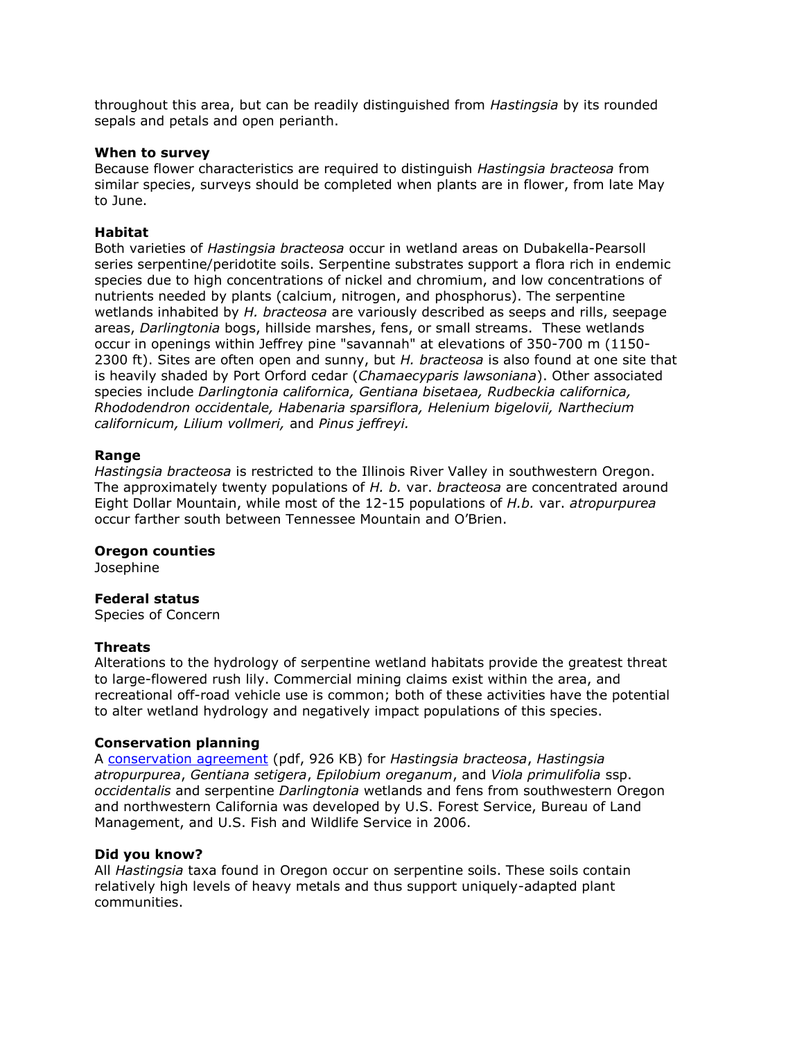throughout this area, but can be readily distinguished from *Hastingsia* by its rounded sepals and petals and open perianth.

#### **When to survey**

Because flower characteristics are required to distinguish *Hastingsia bracteosa* from similar species, surveys should be completed when plants are in flower, from late May to June.

#### **Habitat**

Both varieties of *Hastingsia bracteosa* occur in wetland areas on Dubakella-Pearsoll series serpentine/peridotite soils. Serpentine substrates support a flora rich in endemic species due to high concentrations of nickel and chromium, and low concentrations of nutrients needed by plants (calcium, nitrogen, and phosphorus). The serpentine wetlands inhabited by *H. bracteosa* are variously described as seeps and rills, seepage areas, *Darlingtonia* bogs, hillside marshes, fens, or small streams. These wetlands occur in openings within Jeffrey pine "savannah" at elevations of 350-700 m (1150- 2300 ft). Sites are often open and sunny, but *H. bracteosa* is also found at one site that is heavily shaded by Port Orford cedar (*Chamaecyparis lawsoniana*). Other associated species include *Darlingtonia californica, Gentiana bisetaea, Rudbeckia californica, Rhododendron occidentale, Habenaria sparsiflora, Helenium bigelovii, Narthecium californicum, Lilium vollmeri,* and *Pinus jeffreyi.*

#### **Range**

*Hastingsia bracteosa* is restricted to the Illinois River Valley in southwestern Oregon. The approximately twenty populations of *H. b.* var. *bracteosa* are concentrated around Eight Dollar Mountain, while most of the 12-15 populations of *H.b.* var. *atropurpurea* occur farther south between Tennessee Mountain and O'Brien.

#### **Oregon counties**

Josephine

#### **Federal status**

Species of Concern

#### **Threats**

Alterations to the hydrology of serpentine wetland habitats provide the greatest threat to large-flowered rush lily. Commercial mining claims exist within the area, and recreational off-road vehicle use is common; both of these activities have the potential to alter wetland hydrology and negatively impact populations of this species.

#### **Conservation planning**

A [conservation agreement](http://www.fws.gov/oregonfwo/ToolsForLandowners/HabitatConservationPlans/ConsvAgreements/SerpentineFen-CA_6-2006.pdf) (pdf, 926 KB) for *Hastingsia bracteosa*, *Hastingsia atropurpurea*, *Gentiana setigera*, *Epilobium oreganum*, and *Viola primulifolia* ssp. *occidentalis* and serpentine *Darlingtonia* wetlands and fens from southwestern Oregon and northwestern California was developed by U.S. Forest Service, Bureau of Land Management, and U.S. Fish and Wildlife Service in 2006.

#### **Did you know?**

All *Hastingsia* taxa found in Oregon occur on serpentine soils. These soils contain relatively high levels of heavy metals and thus support uniquely-adapted plant communities.